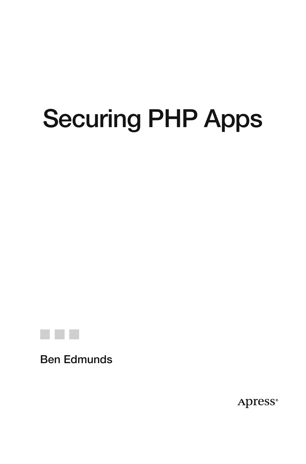# **Securing PHP Apps**



**Ben Edmunds**

**Apress**®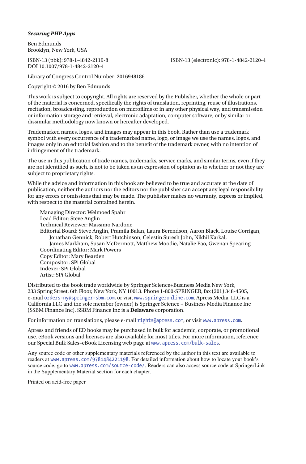#### *Securing PHP Apps*

Ben Edmunds Brooklyn, New York, USA

DOI 10.1007/978-1-4842-2120-4

ISBN-13 (pbk): 978-1-4842-2119-8 ISBN-13 (electronic): 978-1-4842-2120-4

Library of Congress Control Number: 2016948186

Copyright © 2016 by Ben Edmunds

This work is subject to copyright. All rights are reserved by the Publisher, whether the whole or part of the material is concerned, specifically the rights of translation, reprinting, reuse of illustrations, recitation, broadcasting, reproduction on microfilms or in any other physical way, and transmission or information storage and retrieval, electronic adaptation, computer software, or by similar or dissimilar methodology now known or hereafter developed.

Trademarked names, logos, and images may appear in this book. Rather than use a trademark symbol with every occurrence of a trademarked name, logo, or image we use the names, logos, and images only in an editorial fashion and to the benefit of the trademark owner, with no intention of infringement of the trademark.

The use in this publication of trade names, trademarks, service marks, and similar terms, even if they are not identified as such, is not to be taken as an expression of opinion as to whether or not they are subject to proprietary rights.

While the advice and information in this book are believed to be true and accurate at the date of publication, neither the authors nor the editors nor the publisher can accept any legal responsibility for any errors or omissions that may be made. The publisher makes no warranty, express or implied, with respect to the material contained herein.

Managing Director: Welmoed Spahr Lead Editor: Steve Anglin Technical Reviewer: Massimo Nardone Editorial Board: Steve Anglin, Pramila Balan, Laura Berendson, Aaron Black, Louise Corrigan, Jonathan Gennick, Robert Hutchinson, Celestin Suresh John, Nikhil Karkal, James Markham, Susan McDermott, Matthew Moodie, Natalie Pao, Gwenan Spearing Coordinating Editor: Mark Powers Copy Editor: Mary Bearden Compositor: SPi Global Indexer: SPi Global Artist: SPi Global

Distributed to the book trade worldwide by Springer Science+Business Media New York, 233 Spring Street, 6th Floor, New York, NY 10013. Phone 1-800-SPRINGER, fax (201) 348-4505, e-mail [orders-ny@springer-sbm.com](mailto:orders-ny@springer-sbm.com) , or visit <www.springeronline.com> . Apress Media, LLC is a California LLC and the sole member (owner) is Springer Science + Business Media Finance Inc (SSBM Finance Inc). SSBM Finance Inc is a **Delaware** corporation.

For information on translations, please e-mail [rights@apress.com](mailto:rights@apress.com), or visit <www.apress.com>.

Apress and friends of ED books may be purchased in bulk for academic, corporate, or promotional use. eBook versions and licenses are also available for most titles. For more information, reference our Special Bulk Sales–eBook Licensing web page at <www.apress.com/bulk-sales>.

 Any source code or other supplementary materials referenced by the author in this text are available to readers at [www.apress.com/9781484221198](http://www.apress.com/9781484221198) . For detailed information about how to locate your book's source code, go to [www.apress.com/source-code/](http://www.apress.com/source-code/) . Readers can also access source code at SpringerLink in the Supplementary Material section for each chapter.

Printed on acid-free paper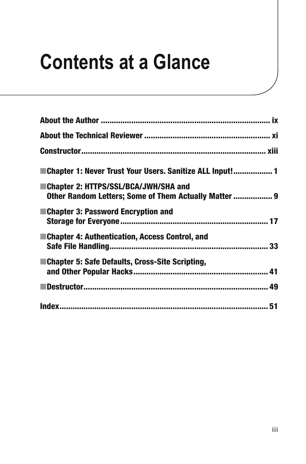## **Contents at a Glance**

| ■ Chapter 1: Never Trust Your Users. Sanitize ALL Input! 1                                    |
|-----------------------------------------------------------------------------------------------|
| Chapter 2: HTTPS/SSL/BCA/JWH/SHA and<br>Other Random Letters; Some of Them Actually Matter  9 |
| ■Chapter 3: Password Encryption and                                                           |
| ■Chapter 4: Authentication, Access Control, and                                               |
| ■Chapter 5: Safe Defaults, Cross-Site Scripting,                                              |
|                                                                                               |
|                                                                                               |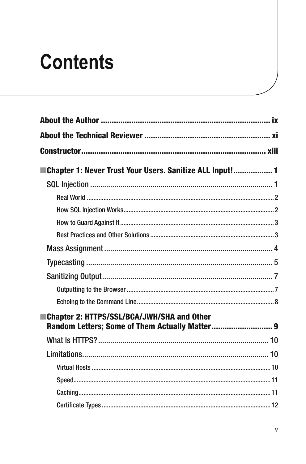## **Contents**

| Chapter 1: Never Trust Your Users. Sanitize ALL Input! 1                                            |  |
|-----------------------------------------------------------------------------------------------------|--|
|                                                                                                     |  |
|                                                                                                     |  |
|                                                                                                     |  |
|                                                                                                     |  |
|                                                                                                     |  |
|                                                                                                     |  |
|                                                                                                     |  |
|                                                                                                     |  |
|                                                                                                     |  |
|                                                                                                     |  |
| <b>Chapter 2: HTTPS/SSL/BCA/JWH/SHA and Other</b><br>Random Letters; Some of Them Actually Matter 9 |  |
|                                                                                                     |  |
|                                                                                                     |  |
|                                                                                                     |  |
|                                                                                                     |  |
|                                                                                                     |  |
|                                                                                                     |  |
|                                                                                                     |  |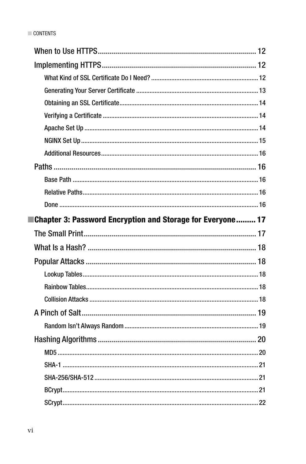| <b>Echapter 3: Password Encryption and Storage for Everyone 17</b> |
|--------------------------------------------------------------------|
|                                                                    |
|                                                                    |
|                                                                    |
|                                                                    |
|                                                                    |
|                                                                    |
|                                                                    |
|                                                                    |
|                                                                    |
|                                                                    |
|                                                                    |
|                                                                    |
|                                                                    |
|                                                                    |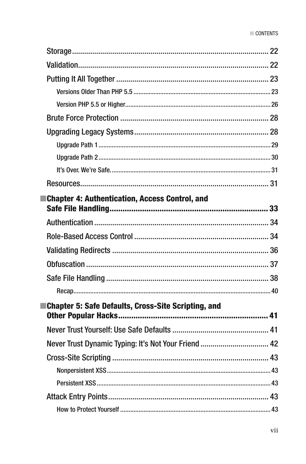| ■Chapter 4: Authentication, Access Control, and      |    |
|------------------------------------------------------|----|
|                                                      |    |
|                                                      |    |
|                                                      |    |
|                                                      |    |
|                                                      |    |
|                                                      |    |
|                                                      |    |
| ■Chapter 5: Safe Defaults, Cross-Site Scripting, and |    |
|                                                      |    |
|                                                      |    |
|                                                      |    |
|                                                      | 43 |
|                                                      |    |
|                                                      |    |
|                                                      |    |
|                                                      |    |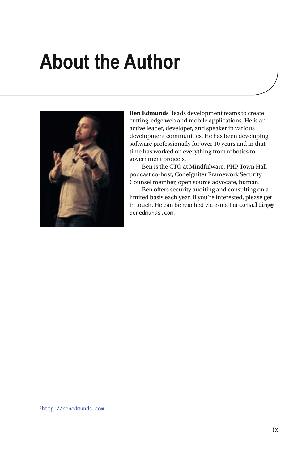### <span id="page-8-0"></span> **About the Author**



Ben Edmunds <sup>[1](#page-13-0)</sup> leads development teams to create cutting-edge web and mobile applications. He is an active leader, developer, and speaker in various development communities. He has been developing software professionally for over 10 years and in that time has worked on everything from robotics to government projects.

 Ben is the CTO at Mindfulware, PHP Town Hall podcast co-host, CodeIgniter Framework Security Counsel member, open source advocate, human.

 Ben offers security auditing and consulting on a limited basis each year. If you're interested, please get in touch. He can be reached via e-mail at consulting@ benedmunds.com.

<sup>1</sup> [http://benedmunds.com](http://benedmunds.com/)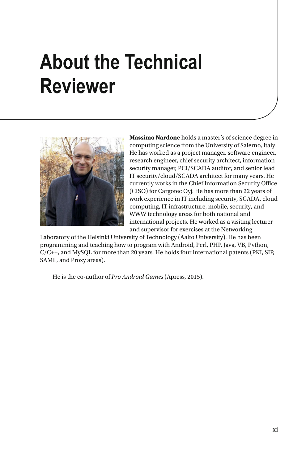### **About the Technical Reviewer**



 **Massimo Nardone** holds a master's of science degree in computing science from the University of Salerno, Italy. He has worked as a project manager, software engineer, research engineer, chief security architect, information security manager, PCI/SCADA auditor, and senior lead IT security/cloud/SCADA architect for many years. He currently works in the Chief Information Security Office (CISO) for Cargotec Oyj. He has more than 22 years of work experience in IT including security, SCADA, cloud computing, IT infrastructure, mobile, security, and WWW technology areas for both national and international projects. He worked as a visiting lecturer and supervisor for exercises at the Networking

Laboratory of the Helsinki University of Technology (Aalto University). He has been programming and teaching how to program with Android, Perl, PHP, Java, VB, Python, C/C++, and MySQL for more than 20 years. He holds four international patents (PKI, SIP, SAML, and Proxy areas).

He is the co-author of *Pro Android Games* (Apress, 2015).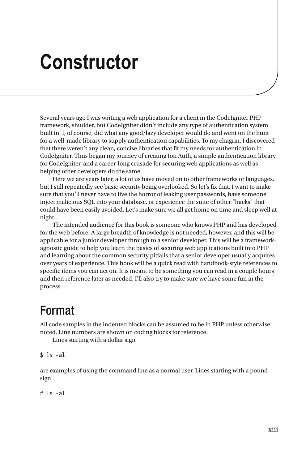#### **Constructor**

 Several years ago I was writing a web application for a client in the CodeIgniter PHP framework, shudder, but CodeIgniter didn't include any type of authentication system built in. I, of course, did what any good/lazy developer would do and went on the hunt for a well-made library to supply authentication capabilities. To my chagrin, I discovered that there weren't any clean, concise libraries that fit my needs for authentication in CodeIgniter. Thus began my journey of creating Ion Auth, a simple authentication library for CodeIgniter, and a career-long crusade for securing web applications as well as helping other developers do the same.

 Here we are years later, a lot of us have moved on to other frameworks or languages, but I still repeatedly see basic security being overlooked. So let's fix that. I want to make sure that you'll never have to live the horror of leaking user passwords, have someone inject malicious SQL into your database, or experience the suite of other "hacks" that could have been easily avoided. Let's make sure we all get home on time and sleep well at night.

 The intended audience for this book is someone who knows PHP and has developed for the web before. A large breadth of knowledge is not needed, however, and this will be applicable for a junior developer through to a senior developer. This will be a frameworkagnostic guide to help you learn the basics of securing web applications built into PHP and learning about the common security pitfalls that a senior developer usually acquires over years of experience. This book will be a quick read with handbook-style references to specific items you can act on. It is meant to be something you can read in a couple hours and then reference later as needed. I'll also try to make sure we have some fun in the process.

#### Format

 All code samples in the indented blocks can be assumed to be in PHP unless otherwise noted. Line numbers are shown on coding blocks for reference.

Lines starting with a dollar sign

 $$ 1s -a1$ 

 are examples of using the command line as a normal user. Lines starting with a pound sign

# ls -al